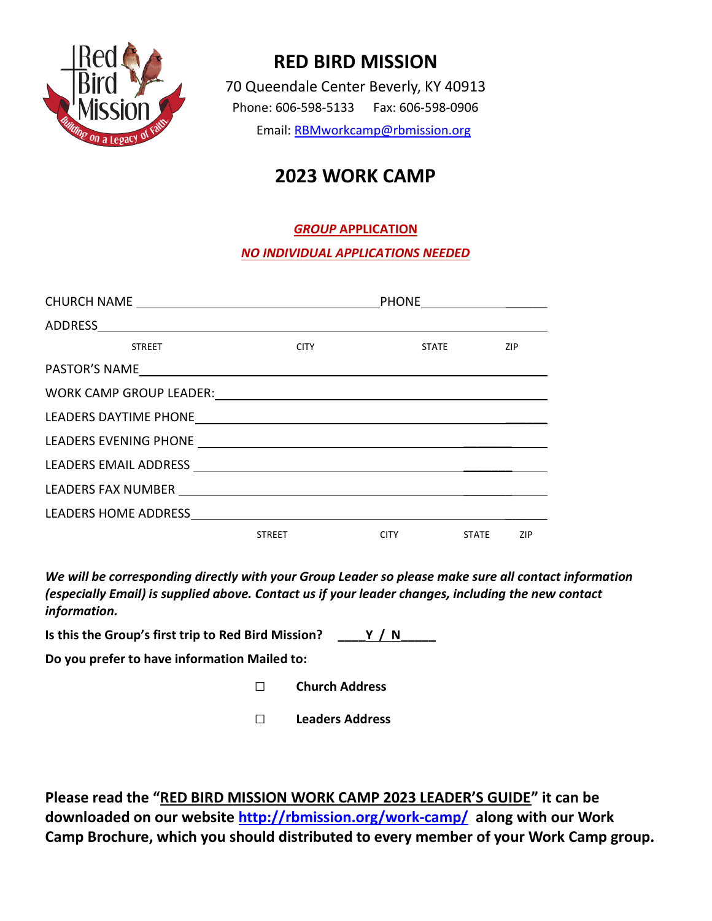

## RED BIRD MISSION

70 Queendale Center Beverly, KY 40913 Phone: 606-598-5133 Fax: 606-598-0906 Email: RBMworkcamp@rbmission.org

# 2023 WORK CAMP

### GROUP APPLICATION

#### NO INDIVIDUAL APPLICATIONS NEEDED

|                    |                  | <b>PHONE</b> |                     |     |
|--------------------|------------------|--------------|---------------------|-----|
|                    |                  |              |                     |     |
| <b>STREET</b>      | <b>CITY CITY</b> |              | ZIP<br><b>STATE</b> |     |
|                    |                  |              |                     |     |
|                    |                  |              |                     |     |
|                    |                  |              |                     |     |
|                    |                  |              |                     |     |
|                    |                  |              |                     |     |
| LEADERS FAX NUMBER |                  |              |                     |     |
|                    |                  |              |                     |     |
|                    | <b>STREET</b>    | <b>CITY</b>  | STATE               | ZIP |

We will be corresponding directly with your Group Leader so please make sure all contact information (especially Email) is supplied above. Contact us if your leader changes, including the new contact information.

Is this the Group's first trip to Red Bird Mission?  $\underline{\qquad \qquad }$  Y / N

Do you prefer to have information Mailed to:

- □ Church Address
- □ Leaders Address

Please read the "RED BIRD MISSION WORK CAMP 2023 LEADER'S GUIDE" it can be downloaded on our website http://rbmission.org/work-camp/ along with our Work Camp Brochure, which you should distributed to every member of your Work Camp group.